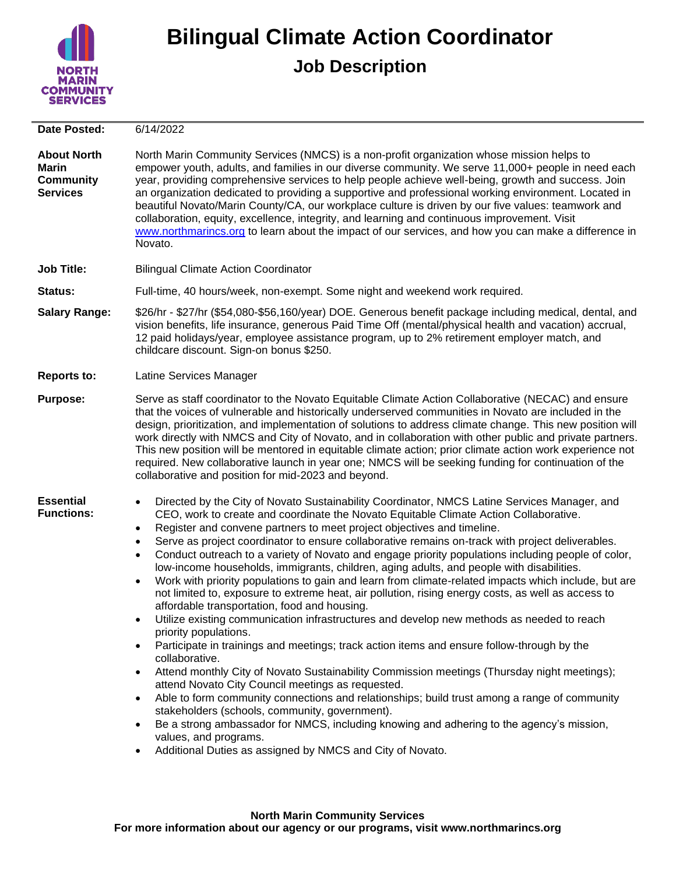

## **Bilingual Climate Action Coordinator**

## **Job Description**

| <b>Date Posted:</b>                                                       | 6/14/2022                                                                                                                                                                                                                                                                                                                                                                                                                                                                                                                                                                                                                                                                                                                                                                                                                                                                                                                                                                                                                                                                                                                                                                                                                                                                                                                                                                                                                                                                                                                                                                                                                                       |
|---------------------------------------------------------------------------|-------------------------------------------------------------------------------------------------------------------------------------------------------------------------------------------------------------------------------------------------------------------------------------------------------------------------------------------------------------------------------------------------------------------------------------------------------------------------------------------------------------------------------------------------------------------------------------------------------------------------------------------------------------------------------------------------------------------------------------------------------------------------------------------------------------------------------------------------------------------------------------------------------------------------------------------------------------------------------------------------------------------------------------------------------------------------------------------------------------------------------------------------------------------------------------------------------------------------------------------------------------------------------------------------------------------------------------------------------------------------------------------------------------------------------------------------------------------------------------------------------------------------------------------------------------------------------------------------------------------------------------------------|
| <b>About North</b><br><b>Marin</b><br><b>Community</b><br><b>Services</b> | North Marin Community Services (NMCS) is a non-profit organization whose mission helps to<br>empower youth, adults, and families in our diverse community. We serve 11,000+ people in need each<br>year, providing comprehensive services to help people achieve well-being, growth and success. Join<br>an organization dedicated to providing a supportive and professional working environment. Located in<br>beautiful Novato/Marin County/CA, our workplace culture is driven by our five values: teamwork and<br>collaboration, equity, excellence, integrity, and learning and continuous improvement. Visit<br>www.northmarincs.org to learn about the impact of our services, and how you can make a difference in<br>Novato.                                                                                                                                                                                                                                                                                                                                                                                                                                                                                                                                                                                                                                                                                                                                                                                                                                                                                                          |
| <b>Job Title:</b>                                                         | <b>Bilingual Climate Action Coordinator</b>                                                                                                                                                                                                                                                                                                                                                                                                                                                                                                                                                                                                                                                                                                                                                                                                                                                                                                                                                                                                                                                                                                                                                                                                                                                                                                                                                                                                                                                                                                                                                                                                     |
| <b>Status:</b>                                                            | Full-time, 40 hours/week, non-exempt. Some night and weekend work required.                                                                                                                                                                                                                                                                                                                                                                                                                                                                                                                                                                                                                                                                                                                                                                                                                                                                                                                                                                                                                                                                                                                                                                                                                                                                                                                                                                                                                                                                                                                                                                     |
| <b>Salary Range:</b>                                                      | \$26/hr - \$27/hr (\$54,080-\$56,160/year) DOE. Generous benefit package including medical, dental, and<br>vision benefits, life insurance, generous Paid Time Off (mental/physical health and vacation) accrual,<br>12 paid holidays/year, employee assistance program, up to 2% retirement employer match, and<br>childcare discount. Sign-on bonus \$250.                                                                                                                                                                                                                                                                                                                                                                                                                                                                                                                                                                                                                                                                                                                                                                                                                                                                                                                                                                                                                                                                                                                                                                                                                                                                                    |
| <b>Reports to:</b>                                                        | Latine Services Manager                                                                                                                                                                                                                                                                                                                                                                                                                                                                                                                                                                                                                                                                                                                                                                                                                                                                                                                                                                                                                                                                                                                                                                                                                                                                                                                                                                                                                                                                                                                                                                                                                         |
| <b>Purpose:</b>                                                           | Serve as staff coordinator to the Novato Equitable Climate Action Collaborative (NECAC) and ensure<br>that the voices of vulnerable and historically underserved communities in Novato are included in the<br>design, prioritization, and implementation of solutions to address climate change. This new position will<br>work directly with NMCS and City of Novato, and in collaboration with other public and private partners.<br>This new position will be mentored in equitable climate action; prior climate action work experience not<br>required. New collaborative launch in year one; NMCS will be seeking funding for continuation of the<br>collaborative and position for mid-2023 and beyond.                                                                                                                                                                                                                                                                                                                                                                                                                                                                                                                                                                                                                                                                                                                                                                                                                                                                                                                                  |
| <b>Essential</b><br><b>Functions:</b>                                     | Directed by the City of Novato Sustainability Coordinator, NMCS Latine Services Manager, and<br>$\bullet$<br>CEO, work to create and coordinate the Novato Equitable Climate Action Collaborative.<br>Register and convene partners to meet project objectives and timeline.<br>$\bullet$<br>Serve as project coordinator to ensure collaborative remains on-track with project deliverables.<br>$\bullet$<br>Conduct outreach to a variety of Novato and engage priority populations including people of color,<br>$\bullet$<br>low-income households, immigrants, children, aging adults, and people with disabilities.<br>Work with priority populations to gain and learn from climate-related impacts which include, but are<br>$\bullet$<br>not limited to, exposure to extreme heat, air pollution, rising energy costs, as well as access to<br>affordable transportation, food and housing.<br>Utilize existing communication infrastructures and develop new methods as needed to reach<br>priority populations.<br>Participate in trainings and meetings; track action items and ensure follow-through by the<br>collaborative.<br>Attend monthly City of Novato Sustainability Commission meetings (Thursday night meetings);<br>$\bullet$<br>attend Novato City Council meetings as requested.<br>Able to form community connections and relationships; build trust among a range of community<br>stakeholders (schools, community, government).<br>Be a strong ambassador for NMCS, including knowing and adhering to the agency's mission,<br>values, and programs.<br>Additional Duties as assigned by NMCS and City of Novato. |